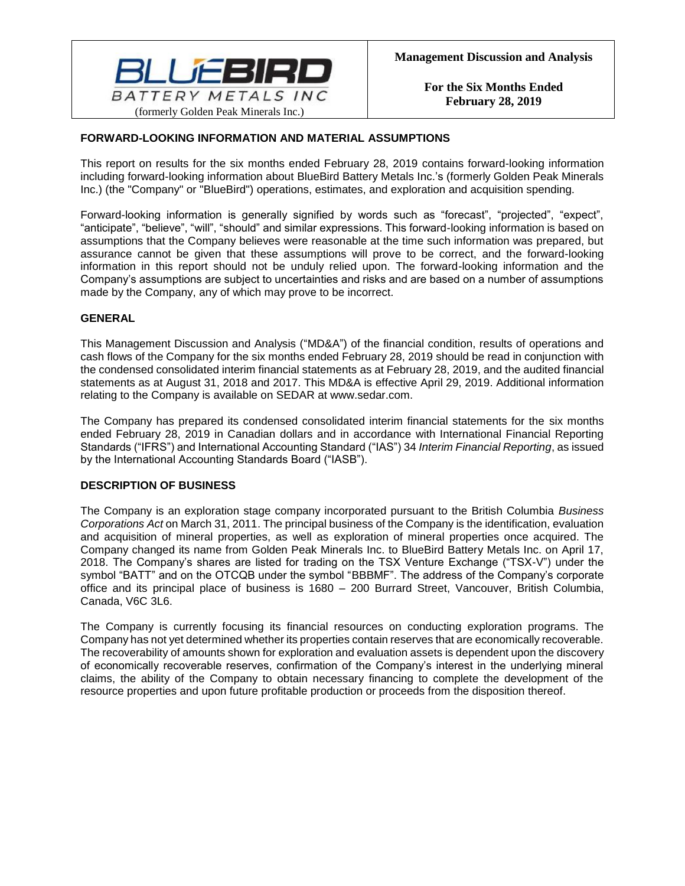

### **FORWARD-LOOKING INFORMATION AND MATERIAL ASSUMPTIONS**

This report on results for the six months ended February 28, 2019 contains forward-looking information including forward-looking information about BlueBird Battery Metals Inc.'s (formerly Golden Peak Minerals Inc.) (the "Company" or "BlueBird") operations, estimates, and exploration and acquisition spending.

Forward-looking information is generally signified by words such as "forecast", "projected", "expect", "anticipate", "believe", "will", "should" and similar expressions. This forward-looking information is based on assumptions that the Company believes were reasonable at the time such information was prepared, but assurance cannot be given that these assumptions will prove to be correct, and the forward-looking information in this report should not be unduly relied upon. The forward-looking information and the Company's assumptions are subject to uncertainties and risks and are based on a number of assumptions made by the Company, any of which may prove to be incorrect.

### **GENERAL**

This Management Discussion and Analysis ("MD&A") of the financial condition, results of operations and cash flows of the Company for the six months ended February 28, 2019 should be read in conjunction with the condensed consolidated interim financial statements as at February 28, 2019, and the audited financial statements as at August 31, 2018 and 2017. This MD&A is effective April 29, 2019. Additional information relating to the Company is available on SEDAR at www.sedar.com.

The Company has prepared its condensed consolidated interim financial statements for the six months ended February 28, 2019 in Canadian dollars and in accordance with International Financial Reporting Standards ("IFRS") and International Accounting Standard ("IAS") 34 *Interim Financial Reporting*, as issued by the International Accounting Standards Board ("IASB").

### **DESCRIPTION OF BUSINESS**

The Company is an exploration stage company incorporated pursuant to the British Columbia *Business Corporations Act* on March 31, 2011. The principal business of the Company is the identification, evaluation and acquisition of mineral properties, as well as exploration of mineral properties once acquired. The Company changed its name from Golden Peak Minerals Inc. to BlueBird Battery Metals Inc. on April 17, 2018. The Company's shares are listed for trading on the TSX Venture Exchange ("TSX-V") under the symbol "BATT" and on the OTCQB under the symbol "BBBMF". The address of the Company's corporate office and its principal place of business is 1680 – 200 Burrard Street, Vancouver, British Columbia, Canada, V6C 3L6.

The Company is currently focusing its financial resources on conducting exploration programs. The Company has not yet determined whether its properties contain reserves that are economically recoverable. The recoverability of amounts shown for exploration and evaluation assets is dependent upon the discovery of economically recoverable reserves, confirmation of the Company's interest in the underlying mineral claims, the ability of the Company to obtain necessary financing to complete the development of the resource properties and upon future profitable production or proceeds from the disposition thereof.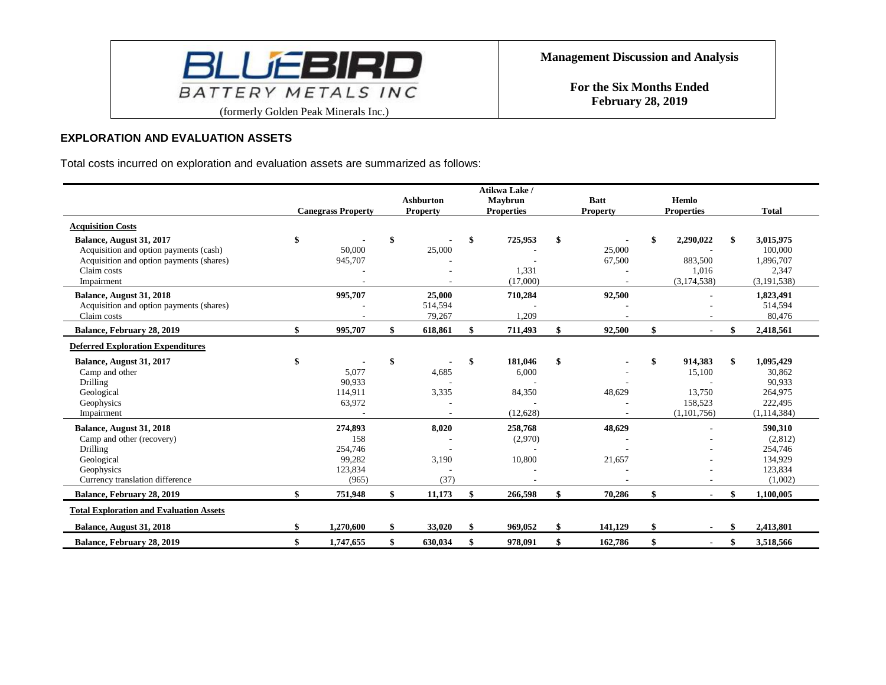

### **EXPLORATION AND EVALUATION ASSETS**

Total costs incurred on exploration and evaluation assets are summarized as follows:

|                                                                                                                                             |                                                         | <b>Ashburton</b>            | Atikwa Lake /<br>Maybrun                     | <b>Batt</b>      | Hemlo                                                       |                                                                            |
|---------------------------------------------------------------------------------------------------------------------------------------------|---------------------------------------------------------|-----------------------------|----------------------------------------------|------------------|-------------------------------------------------------------|----------------------------------------------------------------------------|
|                                                                                                                                             | <b>Canegrass Property</b>                               | <b>Property</b>             | <b>Properties</b>                            | <b>Property</b>  | <b>Properties</b>                                           | <b>Total</b>                                                               |
| <b>Acquisition Costs</b>                                                                                                                    |                                                         |                             |                                              |                  |                                                             |                                                                            |
| Balance, August 31, 2017<br>Acquisition and option payments (cash)<br>Acquisition and option payments (shares)<br>Claim costs<br>Impairment | \$<br>50,000<br>945,707                                 | \$<br>25,000                | \$<br>725,953<br>1,331<br>(17,000)           | 25,000<br>67,500 | \$<br>2,290,022<br>883,500<br>1,016<br>(3,174,538)          | 3,015,975<br>100,000<br>1,896,707<br>2,347<br>(3, 191, 538)                |
| Balance, August 31, 2018<br>Acquisition and option payments (shares)<br>Claim costs                                                         | 995,707                                                 | 25,000<br>514,594<br>79,267 | 710,284<br>1,209                             | 92,500           |                                                             | 1,823,491<br>514,594<br>80,476                                             |
| Balance, February 28, 2019                                                                                                                  | \$<br>995,707                                           | \$<br>618,861               | \$<br>711,493                                | 92,500           | \$                                                          | 2,418,561                                                                  |
| <b>Deferred Exploration Expenditures</b>                                                                                                    |                                                         |                             |                                              |                  |                                                             |                                                                            |
| Balance, August 31, 2017<br>Camp and other<br>Drilling<br>Geological<br>Geophysics<br>Impairment                                            | \$<br>5,077<br>90,933<br>114,911<br>63,972              | \$<br>4,685<br>3,335        | \$<br>181,046<br>6,000<br>84,350<br>(12.628) | \$<br>48,629     | \$<br>914,383<br>15,100<br>13,750<br>158,523<br>(1,101,756) | \$<br>1,095,429<br>30,862<br>90,933<br>264,975<br>222,495<br>(1, 114, 384) |
| Balance, August 31, 2018<br>Camp and other (recovery)<br>Drilling<br>Geological<br>Geophysics<br>Currency translation difference            | 274,893<br>158<br>254,746<br>99,282<br>123,834<br>(965) | 8,020<br>3,190<br>(37)      | 258,768<br>(2,970)<br>10,800                 | 48,629<br>21,657 |                                                             | 590,310<br>(2,812)<br>254,746<br>134,929<br>123,834<br>(1,002)             |
| Balance, February 28, 2019                                                                                                                  | \$<br>751,948                                           | \$<br>11,173                | \$<br>266,598                                | 70,286           | \$<br>$\blacksquare$                                        | 1,100,005                                                                  |
| <b>Total Exploration and Evaluation Assets</b>                                                                                              |                                                         |                             |                                              |                  |                                                             |                                                                            |
| Balance, August 31, 2018                                                                                                                    | 1,270,600                                               | \$<br>33,020                | \$<br>969.052                                | 141,129          | \$                                                          | 2,413,801                                                                  |
| Balance, February 28, 2019                                                                                                                  | \$<br>1,747,655                                         | \$<br>630,034               | \$<br>978,091                                | 162,786          | \$<br>$\overline{\phantom{0}}$                              | \$<br>3,518,566                                                            |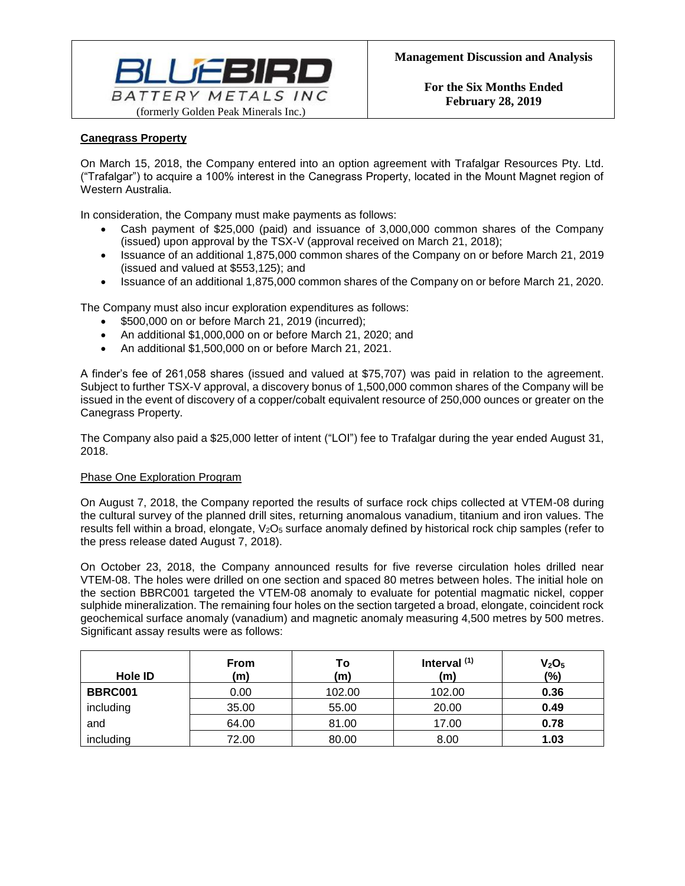

# **Canegrass Property**

On March 15, 2018, the Company entered into an option agreement with Trafalgar Resources Pty. Ltd. ("Trafalgar") to acquire a 100% interest in the Canegrass Property, located in the Mount Magnet region of Western Australia.

In consideration, the Company must make payments as follows:

- Cash payment of \$25,000 (paid) and issuance of 3,000,000 common shares of the Company (issued) upon approval by the TSX-V (approval received on March 21, 2018);
- Issuance of an additional 1,875,000 common shares of the Company on or before March 21, 2019 (issued and valued at \$553,125); and
- Issuance of an additional 1,875,000 common shares of the Company on or before March 21, 2020.

The Company must also incur exploration expenditures as follows:

- \$500,000 on or before March 21, 2019 (incurred);
- An additional \$1,000,000 on or before March 21, 2020; and
- An additional \$1,500,000 on or before March 21, 2021.

A finder's fee of 261,058 shares (issued and valued at \$75,707) was paid in relation to the agreement. Subject to further TSX-V approval, a discovery bonus of 1,500,000 common shares of the Company will be issued in the event of discovery of a copper/cobalt equivalent resource of 250,000 ounces or greater on the Canegrass Property.

The Company also paid a \$25,000 letter of intent ("LOI") fee to Trafalgar during the year ended August 31, 2018.

### Phase One Exploration Program

On August 7, 2018, the Company reported the results of surface rock chips collected at VTEM-08 during the cultural survey of the planned drill sites, returning anomalous vanadium, titanium and iron values. The results fell within a broad, elongate, V<sub>2</sub>O<sub>5</sub> surface anomaly defined by historical rock chip samples (refer to the press release dated August 7, 2018).

On October 23, 2018, the Company announced results for five reverse circulation holes drilled near VTEM-08. The holes were drilled on one section and spaced 80 metres between holes. The initial hole on the section BBRC001 targeted the VTEM-08 anomaly to evaluate for potential magmatic nickel, copper sulphide mineralization. The remaining four holes on the section targeted a broad, elongate, coincident rock geochemical surface anomaly (vanadium) and magnetic anomaly measuring 4,500 metres by 500 metres. Significant assay results were as follows:

| Hole ID        | <b>From</b><br>(m) | Τo<br>(m) | Interval $(1)$<br>(m) | V <sub>2</sub> O <sub>5</sub><br>(%) |
|----------------|--------------------|-----------|-----------------------|--------------------------------------|
| <b>BBRC001</b> | 0.00               | 102.00    | 102.00                | 0.36                                 |
| including      | 35.00              | 55.00     | 20.00                 | 0.49                                 |
| and            | 64.00              | 81.00     | 17.00                 | 0.78                                 |
| including      | 72.00              | 80.00     | 8.00                  | 1.03                                 |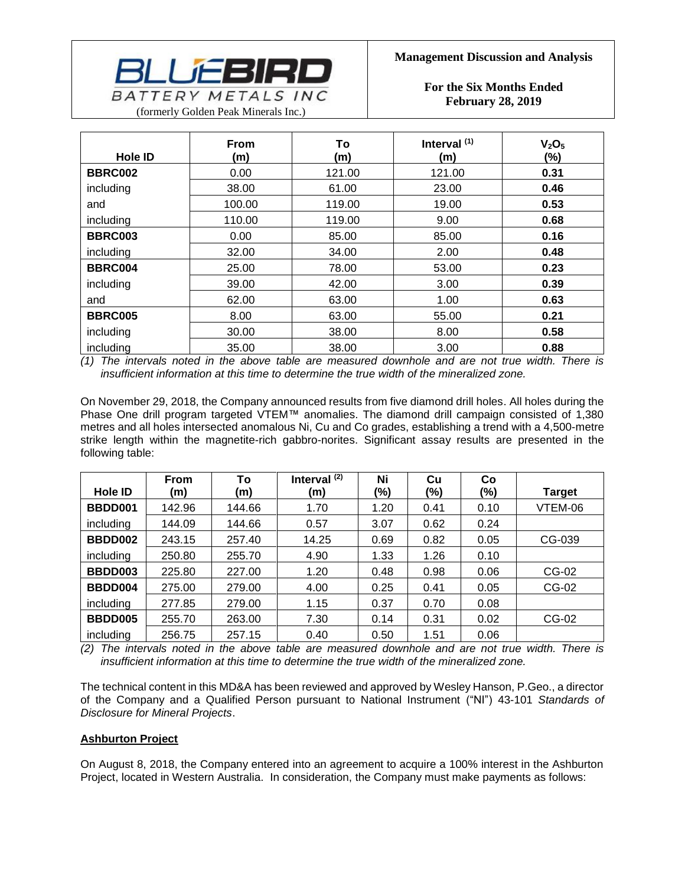

| <b>Hole ID</b> | <b>From</b><br>(m) | To<br>(m) | Interval <sup>(1)</sup><br>(m) | V <sub>2</sub> O <sub>5</sub><br>(%) |
|----------------|--------------------|-----------|--------------------------------|--------------------------------------|
| <b>BBRC002</b> | 0.00               | 121.00    | 121.00                         | 0.31                                 |
| including      | 38.00              | 61.00     | 23.00                          | 0.46                                 |
| and            | 100.00             | 119.00    | 19.00                          | 0.53                                 |
| including      | 110.00             | 119.00    | 9.00                           | 0.68                                 |
| <b>BBRC003</b> | 0.00               | 85.00     | 85.00                          | 0.16                                 |
| including      | 32.00              | 34.00     | 2.00                           | 0.48                                 |
| BBRC004        | 25.00              | 78.00     | 53.00                          | 0.23                                 |
| including      | 39.00              | 42.00     | 3.00                           | 0.39                                 |
| and            | 62.00              | 63.00     | 1.00                           | 0.63                                 |
| <b>BBRC005</b> | 8.00               | 63.00     | 55.00                          | 0.21                                 |
| including      | 30.00              | 38.00     | 8.00                           | 0.58                                 |
| including      | 35.00              | 38.00     | 3.00                           | 0.88                                 |

*(1) The intervals noted in the above table are measured downhole and are not true width. There is insufficient information at this time to determine the true width of the mineralized zone.*

On November 29, 2018, the Company announced results from five diamond drill holes. All holes during the Phase One drill program targeted VTEM™ anomalies. The diamond drill campaign consisted of 1,380 metres and all holes intersected anomalous Ni, Cu and Co grades, establishing a trend with a 4,500-metre strike length within the magnetite-rich gabbro-norites. Significant assay results are presented in the following table:

|                | <b>From</b> | To     | Interval $(2)$ | Ni   | Cu   | Co   |               |
|----------------|-------------|--------|----------------|------|------|------|---------------|
| Hole <b>ID</b> | (m)         | (m)    | (m)            | (%)  | (%)  | (%)  | <b>Target</b> |
| BBDD001        | 142.96      | 144.66 | 1.70           | 1.20 | 0.41 | 0.10 | VTEM-06       |
| including      | 144.09      | 144.66 | 0.57           | 3.07 | 0.62 | 0.24 |               |
| BBDD002        | 243.15      | 257.40 | 14.25          | 0.69 | 0.82 | 0.05 | CG-039        |
| including      | 250.80      | 255.70 | 4.90           | 1.33 | 1.26 | 0.10 |               |
| BBDD003        | 225.80      | 227.00 | 1.20           | 0.48 | 0.98 | 0.06 | CG-02         |
| BBDD004        | 275.00      | 279.00 | 4.00           | 0.25 | 0.41 | 0.05 | CG-02         |
| including      | 277.85      | 279.00 | 1.15           | 0.37 | 0.70 | 0.08 |               |
| BBDD005        | 255.70      | 263.00 | 7.30           | 0.14 | 0.31 | 0.02 | CG-02         |
| including      | 256.75      | 257.15 | 0.40           | 0.50 | 1.51 | 0.06 |               |

*(2) The intervals noted in the above table are measured downhole and are not true width. There is insufficient information at this time to determine the true width of the mineralized zone.*

The technical content in this MD&A has been reviewed and approved by Wesley Hanson, P.Geo., a director of the Company and a Qualified Person pursuant to National Instrument ("NI") 43-101 *Standards of Disclosure for Mineral Projects*.

### **Ashburton Project**

On August 8, 2018, the Company entered into an agreement to acquire a 100% interest in the Ashburton Project, located in Western Australia. In consideration, the Company must make payments as follows: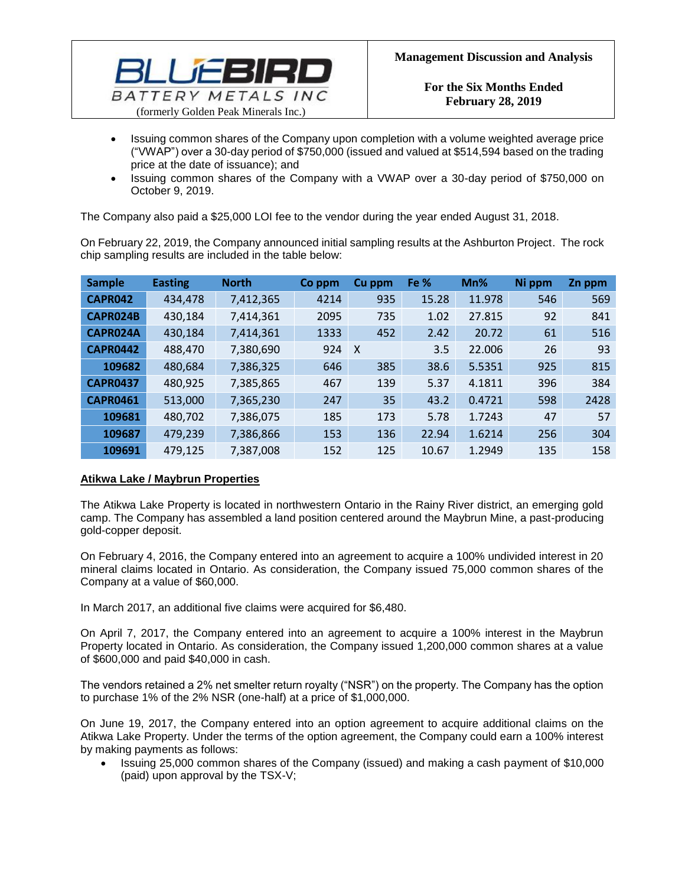

- Issuing common shares of the Company upon completion with a volume weighted average price ("VWAP") over a 30-day period of \$750,000 (issued and valued at \$514,594 based on the trading price at the date of issuance); and
- Issuing common shares of the Company with a VWAP over a 30-day period of \$750,000 on October 9, 2019.

The Company also paid a \$25,000 LOI fee to the vendor during the year ended August 31, 2018.

On February 22, 2019, the Company announced initial sampling results at the Ashburton Project. The rock chip sampling results are included in the table below:

| <b>Sample</b>   | <b>Easting</b> | <b>North</b> | Co ppm | Cu ppm       | Fe %  | Mn%    | Ni ppm | Zn ppm |
|-----------------|----------------|--------------|--------|--------------|-------|--------|--------|--------|
| <b>CAPR042</b>  | 434,478        | 7,412,365    | 4214   | 935          | 15.28 | 11.978 | 546    | 569    |
| CAPR024B        | 430,184        | 7,414,361    | 2095   | 735          | 1.02  | 27.815 | 92     | 841    |
| CAPR024A        | 430,184        | 7,414,361    | 1333   | 452          | 2.42  | 20.72  | 61     | 516    |
| <b>CAPR0442</b> | 488,470        | 7,380,690    | 924    | $\mathsf{X}$ | 3.5   | 22.006 | 26     | 93     |
| 109682          | 480,684        | 7,386,325    | 646    | 385          | 38.6  | 5.5351 | 925    | 815    |
| <b>CAPR0437</b> | 480,925        | 7,385,865    | 467    | 139          | 5.37  | 4.1811 | 396    | 384    |
| <b>CAPR0461</b> | 513,000        | 7,365,230    | 247    | 35           | 43.2  | 0.4721 | 598    | 2428   |
| 109681          | 480,702        | 7,386,075    | 185    | 173          | 5.78  | 1.7243 | 47     | 57     |
| 109687          | 479,239        | 7,386,866    | 153    | 136          | 22.94 | 1.6214 | 256    | 304    |
| 109691          | 479,125        | 7,387,008    | 152    | 125          | 10.67 | 1.2949 | 135    | 158    |

## **Atikwa Lake / Maybrun Properties**

The Atikwa Lake Property is located in northwestern Ontario in the Rainy River district, an emerging gold camp. The Company has assembled a land position centered around the Maybrun Mine, a past-producing gold-copper deposit.

On February 4, 2016, the Company entered into an agreement to acquire a 100% undivided interest in 20 mineral claims located in Ontario. As consideration, the Company issued 75,000 common shares of the Company at a value of \$60,000.

In March 2017, an additional five claims were acquired for \$6,480.

On April 7, 2017, the Company entered into an agreement to acquire a 100% interest in the Maybrun Property located in Ontario. As consideration, the Company issued 1,200,000 common shares at a value of \$600,000 and paid \$40,000 in cash.

The vendors retained a 2% net smelter return royalty ("NSR") on the property. The Company has the option to purchase 1% of the 2% NSR (one-half) at a price of \$1,000,000.

On June 19, 2017, the Company entered into an option agreement to acquire additional claims on the Atikwa Lake Property. Under the terms of the option agreement, the Company could earn a 100% interest by making payments as follows:

• Issuing 25,000 common shares of the Company (issued) and making a cash payment of \$10,000 (paid) upon approval by the TSX-V;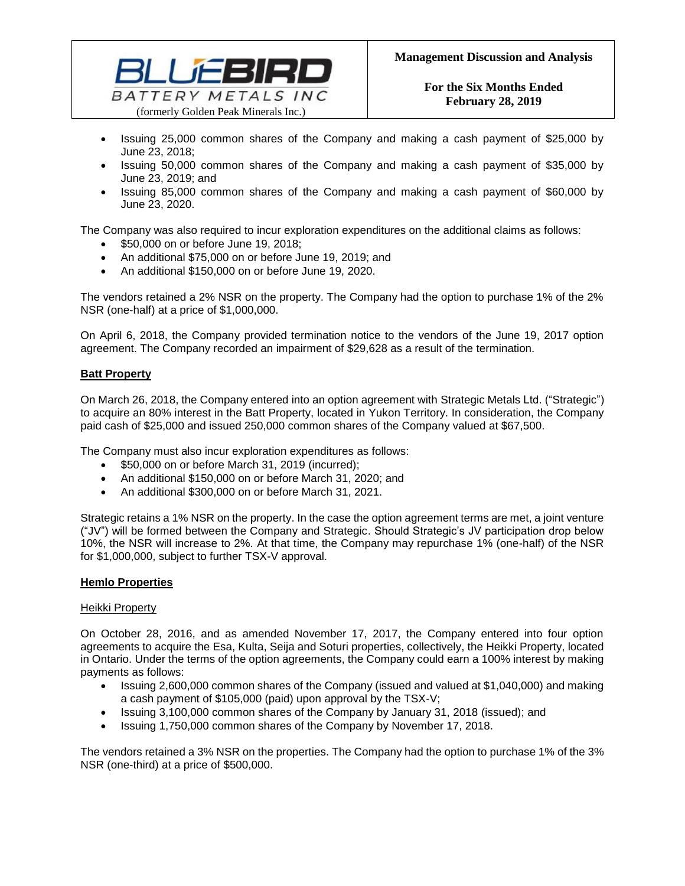

- Issuing 25,000 common shares of the Company and making a cash payment of \$25,000 by June 23, 2018;
- Issuing 50,000 common shares of the Company and making a cash payment of \$35,000 by June 23, 2019; and
- Issuing 85,000 common shares of the Company and making a cash payment of \$60,000 by June 23, 2020.

The Company was also required to incur exploration expenditures on the additional claims as follows:

- \$50,000 on or before June 19, 2018;
- An additional \$75,000 on or before June 19, 2019; and
- An additional \$150,000 on or before June 19, 2020.

The vendors retained a 2% NSR on the property. The Company had the option to purchase 1% of the 2% NSR (one-half) at a price of \$1,000,000.

On April 6, 2018, the Company provided termination notice to the vendors of the June 19, 2017 option agreement. The Company recorded an impairment of \$29,628 as a result of the termination.

### **Batt Property**

On March 26, 2018, the Company entered into an option agreement with Strategic Metals Ltd. ("Strategic") to acquire an 80% interest in the Batt Property, located in Yukon Territory. In consideration, the Company paid cash of \$25,000 and issued 250,000 common shares of the Company valued at \$67,500.

The Company must also incur exploration expenditures as follows:

- \$50,000 on or before March 31, 2019 (incurred);
- An additional \$150,000 on or before March 31, 2020; and
- An additional \$300,000 on or before March 31, 2021.

Strategic retains a 1% NSR on the property. In the case the option agreement terms are met, a joint venture ("JV") will be formed between the Company and Strategic. Should Strategic's JV participation drop below 10%, the NSR will increase to 2%. At that time, the Company may repurchase 1% (one-half) of the NSR for \$1,000,000, subject to further TSX-V approval.

### **Hemlo Properties**

#### Heikki Property

On October 28, 2016, and as amended November 17, 2017, the Company entered into four option agreements to acquire the Esa, Kulta, Seija and Soturi properties, collectively, the Heikki Property, located in Ontario. Under the terms of the option agreements, the Company could earn a 100% interest by making payments as follows:

- Issuing 2,600,000 common shares of the Company (issued and valued at \$1,040,000) and making a cash payment of \$105,000 (paid) upon approval by the TSX-V;
- Issuing 3,100,000 common shares of the Company by January 31, 2018 (issued); and
- Issuing 1,750,000 common shares of the Company by November 17, 2018.

The vendors retained a 3% NSR on the properties. The Company had the option to purchase 1% of the 3% NSR (one-third) at a price of \$500,000.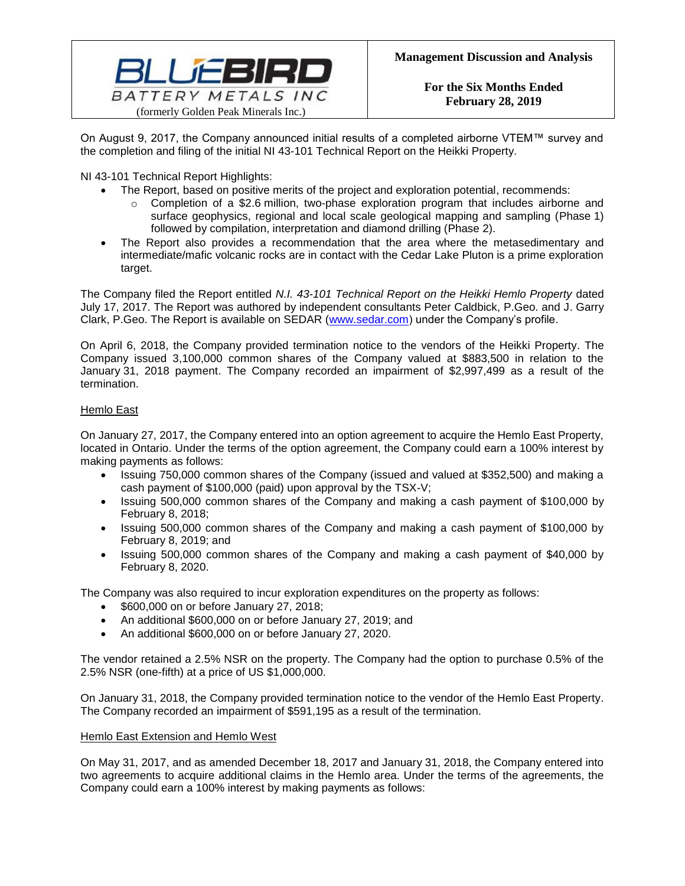

On August 9, 2017, the Company announced initial results of a completed airborne VTEM™ survey and the completion and filing of the initial NI 43-101 Technical Report on the Heikki Property.

NI 43-101 Technical Report Highlights:

- The Report, based on positive merits of the project and exploration potential, recommends:
	- $\circ$  Completion of a \$2.6 million, two-phase exploration program that includes airborne and surface geophysics, regional and local scale geological mapping and sampling (Phase 1) followed by compilation, interpretation and diamond drilling (Phase 2).
- The Report also provides a recommendation that the area where the metasedimentary and intermediate/mafic volcanic rocks are in contact with the Cedar Lake Pluton is a prime exploration target.

The Company filed the Report entitled *N.I. 43-101 Technical Report on the Heikki Hemlo Property* dated July 17, 2017. The Report was authored by independent consultants Peter Caldbick, P.Geo. and J. Garry Clark, P.Geo. The Report is available on SEDAR [\(www.sedar.com\)](http://www.sedar.com/) under the Company's profile.

On April 6, 2018, the Company provided termination notice to the vendors of the Heikki Property. The Company issued 3,100,000 common shares of the Company valued at \$883,500 in relation to the January 31, 2018 payment. The Company recorded an impairment of \$2,997,499 as a result of the termination.

## Hemlo East

On January 27, 2017, the Company entered into an option agreement to acquire the Hemlo East Property, located in Ontario. Under the terms of the option agreement, the Company could earn a 100% interest by making payments as follows:

- Issuing 750,000 common shares of the Company (issued and valued at \$352,500) and making a cash payment of \$100,000 (paid) upon approval by the TSX-V;
- Issuing 500,000 common shares of the Company and making a cash payment of \$100,000 by February 8, 2018;
- Issuing 500,000 common shares of the Company and making a cash payment of \$100,000 by February 8, 2019; and
- Issuing 500,000 common shares of the Company and making a cash payment of \$40,000 by February 8, 2020.

The Company was also required to incur exploration expenditures on the property as follows:

- \$600,000 on or before January 27, 2018;
- An additional \$600,000 on or before January 27, 2019; and
- An additional \$600,000 on or before January 27, 2020.

The vendor retained a 2.5% NSR on the property. The Company had the option to purchase 0.5% of the 2.5% NSR (one-fifth) at a price of US \$1,000,000.

On January 31, 2018, the Company provided termination notice to the vendor of the Hemlo East Property. The Company recorded an impairment of \$591,195 as a result of the termination.

### Hemlo East Extension and Hemlo West

On May 31, 2017, and as amended December 18, 2017 and January 31, 2018, the Company entered into two agreements to acquire additional claims in the Hemlo area. Under the terms of the agreements, the Company could earn a 100% interest by making payments as follows: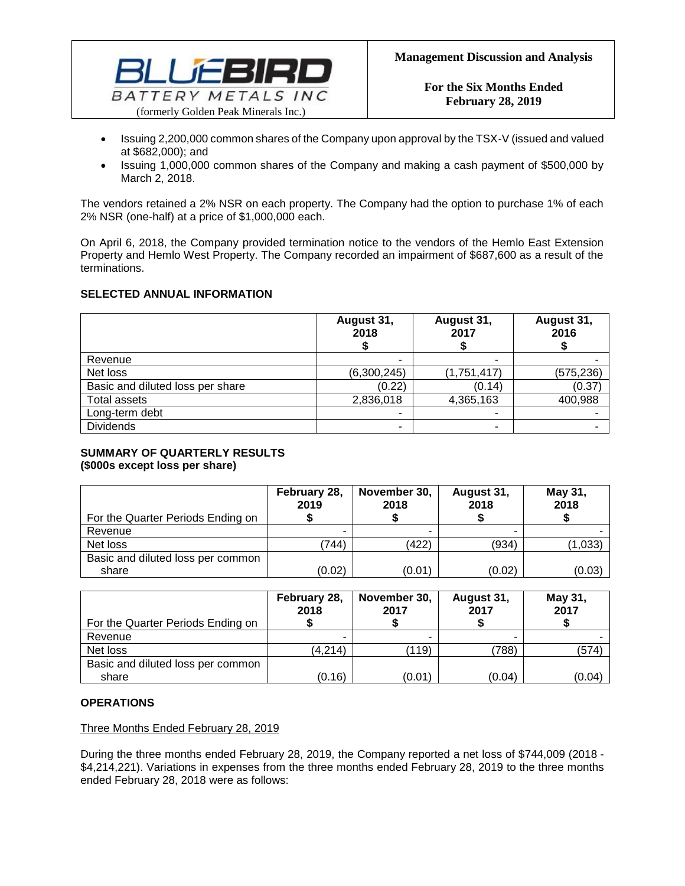

- Issuing 2,200,000 common shares of the Company upon approval by the TSX-V (issued and valued at \$682,000); and
- Issuing 1,000,000 common shares of the Company and making a cash payment of \$500,000 by March 2, 2018.

The vendors retained a 2% NSR on each property. The Company had the option to purchase 1% of each 2% NSR (one-half) at a price of \$1,000,000 each.

On April 6, 2018, the Company provided termination notice to the vendors of the Hemlo East Extension Property and Hemlo West Property. The Company recorded an impairment of \$687,600 as a result of the terminations.

### **SELECTED ANNUAL INFORMATION**

|                                  | August 31,<br>2018 | August 31,<br>2017 | August 31,<br>2016 |
|----------------------------------|--------------------|--------------------|--------------------|
| Revenue                          |                    |                    |                    |
| Net loss                         | (6,300,245)        | (1,751,417)        | (575, 236)         |
| Basic and diluted loss per share | (0.22)             | (0.14)             | (0.37)             |
| Total assets                     | 2,836,018          | 4,365,163          | 400,988            |
| Long-term debt                   |                    |                    |                    |
| <b>Dividends</b>                 |                    |                    |                    |

## **SUMMARY OF QUARTERLY RESULTS**

**(\$000s except loss per share)**

| For the Quarter Periods Ending on | February 28,<br>2019 | November 30,<br>2018 | August 31,<br>2018 | May 31,<br>2018 |
|-----------------------------------|----------------------|----------------------|--------------------|-----------------|
| Revenue                           |                      |                      |                    |                 |
| Net loss                          | (744)                | (422)                | (934)              | (1,033)         |
| Basic and diluted loss per common |                      |                      |                    |                 |
| share                             | (0.02)               | (0.01)               | (0.02)             | (0.03)          |

| For the Quarter Periods Ending on | February 28,<br>2018 | November 30,<br>2017 | August 31,<br>2017 | May 31,<br>2017 |
|-----------------------------------|----------------------|----------------------|--------------------|-----------------|
| Revenue                           |                      |                      |                    |                 |
| Net loss                          | (4,214)              | (119)                | (788)              | (574)           |
| Basic and diluted loss per common |                      |                      |                    |                 |
| share                             | (0.16)               | (0.01)               | (0.04)             | (0.04)          |

## **OPERATIONS**

Three Months Ended February 28, 2019

During the three months ended February 28, 2019, the Company reported a net loss of \$744,009 (2018 - \$4,214,221). Variations in expenses from the three months ended February 28, 2019 to the three months ended February 28, 2018 were as follows: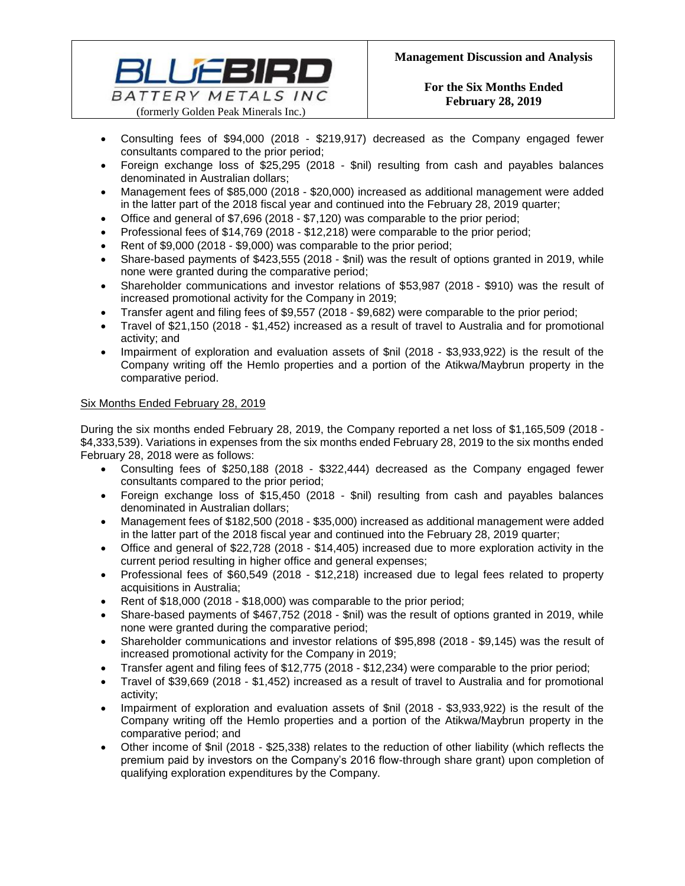

- Consulting fees of \$94,000 (2018 \$219,917) decreased as the Company engaged fewer consultants compared to the prior period;
- Foreign exchange loss of \$25,295 (2018 \$nil) resulting from cash and payables balances denominated in Australian dollars;
- Management fees of \$85,000 (2018 \$20,000) increased as additional management were added in the latter part of the 2018 fiscal year and continued into the February 28, 2019 quarter;
- Office and general of \$7,696 (2018 \$7,120) was comparable to the prior period;
- Professional fees of \$14,769 (2018 \$12,218) were comparable to the prior period;
- Rent of \$9,000 (2018 \$9,000) was comparable to the prior period;
- Share-based payments of \$423,555 (2018 \$nil) was the result of options granted in 2019, while none were granted during the comparative period;
- Shareholder communications and investor relations of \$53,987 (2018 \$910) was the result of increased promotional activity for the Company in 2019;
- Transfer agent and filing fees of \$9,557 (2018 \$9,682) were comparable to the prior period;
- Travel of \$21,150 (2018 \$1,452) increased as a result of travel to Australia and for promotional activity; and
- Impairment of exploration and evaluation assets of \$nil (2018 \$3,933,922) is the result of the Company writing off the Hemlo properties and a portion of the Atikwa/Maybrun property in the comparative period.

## Six Months Ended February 28, 2019

During the six months ended February 28, 2019, the Company reported a net loss of \$1,165,509 (2018 - \$4,333,539). Variations in expenses from the six months ended February 28, 2019 to the six months ended February 28, 2018 were as follows:

- Consulting fees of \$250,188 (2018 \$322,444) decreased as the Company engaged fewer consultants compared to the prior period;
- Foreign exchange loss of \$15,450 (2018 \$nil) resulting from cash and payables balances denominated in Australian dollars;
- Management fees of \$182,500 (2018 \$35,000) increased as additional management were added in the latter part of the 2018 fiscal year and continued into the February 28, 2019 quarter;
- Office and general of \$22,728 (2018 \$14,405) increased due to more exploration activity in the current period resulting in higher office and general expenses;
- Professional fees of \$60,549 (2018 \$12,218) increased due to legal fees related to property acquisitions in Australia;
- Rent of \$18,000 (2018 \$18,000) was comparable to the prior period;
- Share-based payments of \$467,752 (2018 \$nil) was the result of options granted in 2019, while none were granted during the comparative period;
- Shareholder communications and investor relations of \$95,898 (2018 \$9,145) was the result of increased promotional activity for the Company in 2019;
- Transfer agent and filing fees of \$12,775 (2018 \$12,234) were comparable to the prior period;
- Travel of \$39,669 (2018 \$1,452) increased as a result of travel to Australia and for promotional activity;
- Impairment of exploration and evaluation assets of \$nil (2018 \$3,933,922) is the result of the Company writing off the Hemlo properties and a portion of the Atikwa/Maybrun property in the comparative period; and
- Other income of \$nil (2018 \$25,338) relates to the reduction of other liability (which reflects the premium paid by investors on the Company's 2016 flow-through share grant) upon completion of qualifying exploration expenditures by the Company.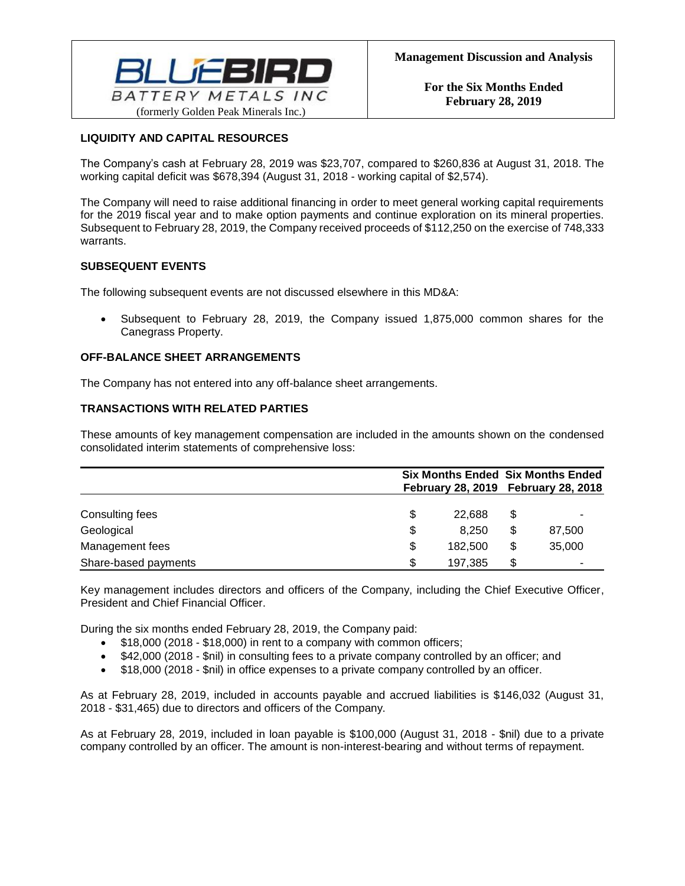

# **LIQUIDITY AND CAPITAL RESOURCES**

The Company's cash at February 28, 2019 was \$23,707, compared to \$260,836 at August 31, 2018. The working capital deficit was \$678,394 (August 31, 2018 - working capital of \$2,574).

The Company will need to raise additional financing in order to meet general working capital requirements for the 2019 fiscal year and to make option payments and continue exploration on its mineral properties. Subsequent to February 28, 2019, the Company received proceeds of \$112,250 on the exercise of 748,333 warrants.

### **SUBSEQUENT EVENTS**

The following subsequent events are not discussed elsewhere in this MD&A:

• Subsequent to February 28, 2019, the Company issued 1,875,000 common shares for the Canegrass Property.

### **OFF-BALANCE SHEET ARRANGEMENTS**

The Company has not entered into any off-balance sheet arrangements.

## **TRANSACTIONS WITH RELATED PARTIES**

These amounts of key management compensation are included in the amounts shown on the condensed consolidated interim statements of comprehensive loss:

|                      |     |         | <b>Six Months Ended Six Months Ended</b><br>February 28, 2019 February 28, 2018 |        |  |
|----------------------|-----|---------|---------------------------------------------------------------------------------|--------|--|
| Consulting fees      | \$  | 22.688  | \$                                                                              |        |  |
| Geological           | \$  | 8.250   | \$                                                                              | 87,500 |  |
| Management fees      | \$  | 182,500 | \$                                                                              | 35,000 |  |
| Share-based payments | \$. | 197,385 | S                                                                               | ۰      |  |

Key management includes directors and officers of the Company, including the Chief Executive Officer, President and Chief Financial Officer.

During the six months ended February 28, 2019, the Company paid:

- \$18,000 (2018 \$18,000) in rent to a company with common officers;
- \$42,000 (2018 \$nil) in consulting fees to a private company controlled by an officer; and
- \$18,000 (2018 \$nil) in office expenses to a private company controlled by an officer.

As at February 28, 2019, included in accounts payable and accrued liabilities is \$146,032 (August 31, 2018 - \$31,465) due to directors and officers of the Company.

As at February 28, 2019, included in loan payable is \$100,000 (August 31, 2018 - \$nil) due to a private company controlled by an officer. The amount is non-interest-bearing and without terms of repayment.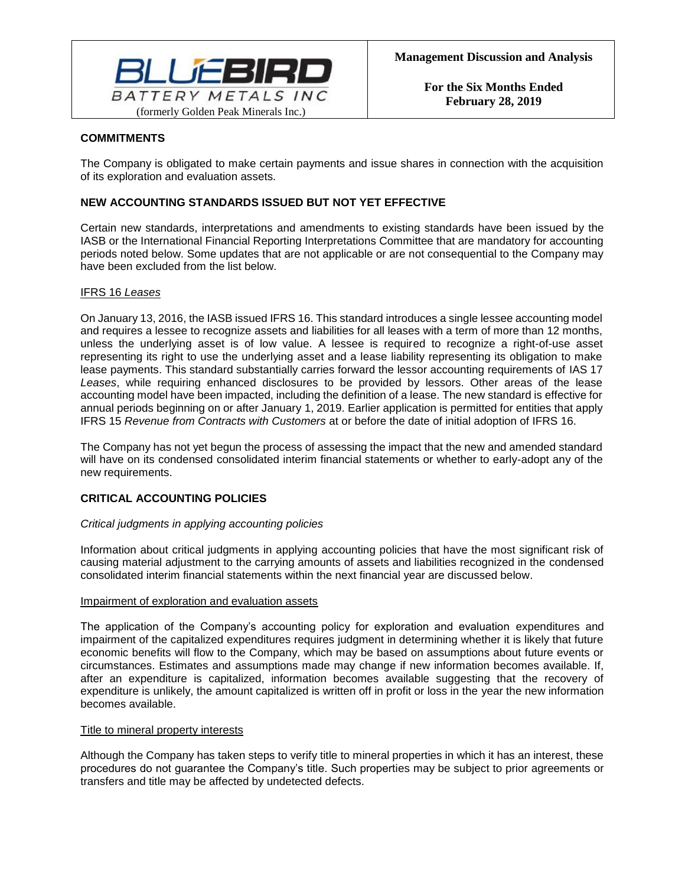

## **COMMITMENTS**

The Company is obligated to make certain payments and issue shares in connection with the acquisition of its exploration and evaluation assets.

# **NEW ACCOUNTING STANDARDS ISSUED BUT NOT YET EFFECTIVE**

Certain new standards, interpretations and amendments to existing standards have been issued by the IASB or the International Financial Reporting Interpretations Committee that are mandatory for accounting periods noted below. Some updates that are not applicable or are not consequential to the Company may have been excluded from the list below.

### IFRS 16 *Leases*

On January 13, 2016, the IASB issued IFRS 16. This standard introduces a single lessee accounting model and requires a lessee to recognize assets and liabilities for all leases with a term of more than 12 months, unless the underlying asset is of low value. A lessee is required to recognize a right-of-use asset representing its right to use the underlying asset and a lease liability representing its obligation to make lease payments. This standard substantially carries forward the lessor accounting requirements of IAS 17 *Leases*, while requiring enhanced disclosures to be provided by lessors. Other areas of the lease accounting model have been impacted, including the definition of a lease. The new standard is effective for annual periods beginning on or after January 1, 2019. Earlier application is permitted for entities that apply IFRS 15 *Revenue from Contracts with Customers* at or before the date of initial adoption of IFRS 16.

The Company has not yet begun the process of assessing the impact that the new and amended standard will have on its condensed consolidated interim financial statements or whether to early-adopt any of the new requirements.

# **CRITICAL ACCOUNTING POLICIES**

### *Critical judgments in applying accounting policies*

Information about critical judgments in applying accounting policies that have the most significant risk of causing material adjustment to the carrying amounts of assets and liabilities recognized in the condensed consolidated interim financial statements within the next financial year are discussed below.

### Impairment of exploration and evaluation assets

The application of the Company's accounting policy for exploration and evaluation expenditures and impairment of the capitalized expenditures requires judgment in determining whether it is likely that future economic benefits will flow to the Company, which may be based on assumptions about future events or circumstances. Estimates and assumptions made may change if new information becomes available. If, after an expenditure is capitalized, information becomes available suggesting that the recovery of expenditure is unlikely, the amount capitalized is written off in profit or loss in the year the new information becomes available.

### Title to mineral property interests

Although the Company has taken steps to verify title to mineral properties in which it has an interest, these procedures do not guarantee the Company's title. Such properties may be subject to prior agreements or transfers and title may be affected by undetected defects.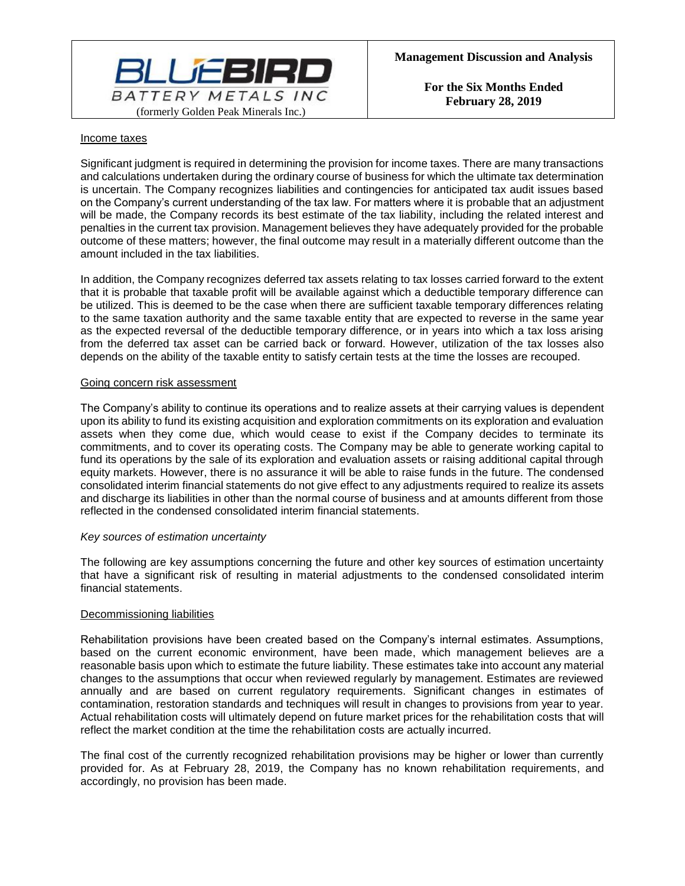

#### Income taxes

Significant judgment is required in determining the provision for income taxes. There are many transactions and calculations undertaken during the ordinary course of business for which the ultimate tax determination is uncertain. The Company recognizes liabilities and contingencies for anticipated tax audit issues based on the Company's current understanding of the tax law. For matters where it is probable that an adjustment will be made, the Company records its best estimate of the tax liability, including the related interest and penalties in the current tax provision. Management believes they have adequately provided for the probable outcome of these matters; however, the final outcome may result in a materially different outcome than the amount included in the tax liabilities.

In addition, the Company recognizes deferred tax assets relating to tax losses carried forward to the extent that it is probable that taxable profit will be available against which a deductible temporary difference can be utilized. This is deemed to be the case when there are sufficient taxable temporary differences relating to the same taxation authority and the same taxable entity that are expected to reverse in the same year as the expected reversal of the deductible temporary difference, or in years into which a tax loss arising from the deferred tax asset can be carried back or forward. However, utilization of the tax losses also depends on the ability of the taxable entity to satisfy certain tests at the time the losses are recouped.

#### Going concern risk assessment

The Company's ability to continue its operations and to realize assets at their carrying values is dependent upon its ability to fund its existing acquisition and exploration commitments on its exploration and evaluation assets when they come due, which would cease to exist if the Company decides to terminate its commitments, and to cover its operating costs. The Company may be able to generate working capital to fund its operations by the sale of its exploration and evaluation assets or raising additional capital through equity markets. However, there is no assurance it will be able to raise funds in the future. The condensed consolidated interim financial statements do not give effect to any adjustments required to realize its assets and discharge its liabilities in other than the normal course of business and at amounts different from those reflected in the condensed consolidated interim financial statements.

### *Key sources of estimation uncertainty*

The following are key assumptions concerning the future and other key sources of estimation uncertainty that have a significant risk of resulting in material adjustments to the condensed consolidated interim financial statements.

### Decommissioning liabilities

Rehabilitation provisions have been created based on the Company's internal estimates. Assumptions, based on the current economic environment, have been made, which management believes are a reasonable basis upon which to estimate the future liability. These estimates take into account any material changes to the assumptions that occur when reviewed regularly by management. Estimates are reviewed annually and are based on current regulatory requirements. Significant changes in estimates of contamination, restoration standards and techniques will result in changes to provisions from year to year. Actual rehabilitation costs will ultimately depend on future market prices for the rehabilitation costs that will reflect the market condition at the time the rehabilitation costs are actually incurred.

The final cost of the currently recognized rehabilitation provisions may be higher or lower than currently provided for. As at February 28, 2019, the Company has no known rehabilitation requirements, and accordingly, no provision has been made.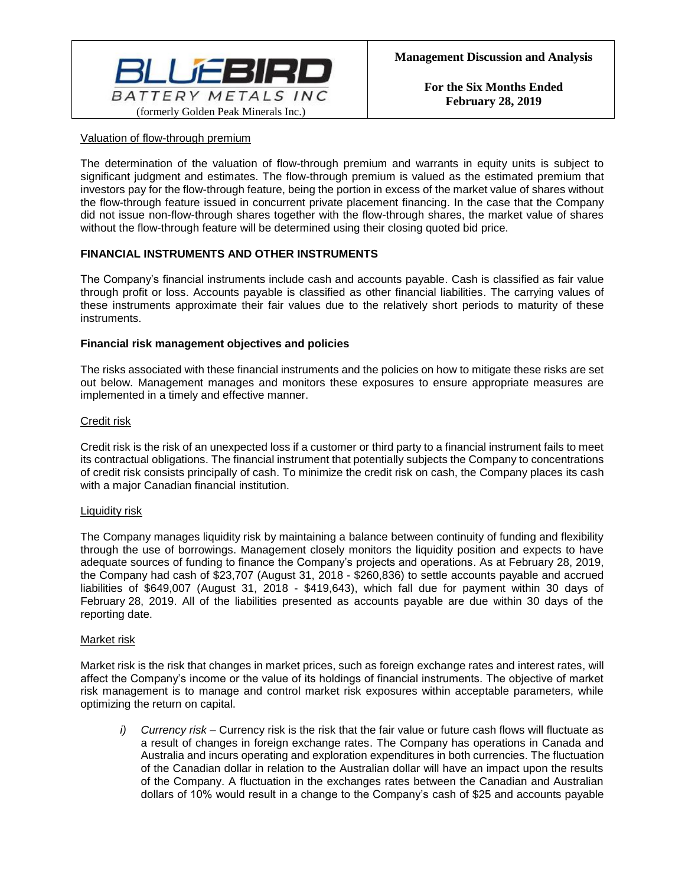

### Valuation of flow-through premium

The determination of the valuation of flow-through premium and warrants in equity units is subject to significant judgment and estimates. The flow-through premium is valued as the estimated premium that investors pay for the flow-through feature, being the portion in excess of the market value of shares without the flow-through feature issued in concurrent private placement financing. In the case that the Company did not issue non-flow-through shares together with the flow-through shares, the market value of shares without the flow-through feature will be determined using their closing quoted bid price.

## **FINANCIAL INSTRUMENTS AND OTHER INSTRUMENTS**

The Company's financial instruments include cash and accounts payable. Cash is classified as fair value through profit or loss. Accounts payable is classified as other financial liabilities. The carrying values of these instruments approximate their fair values due to the relatively short periods to maturity of these instruments.

### **Financial risk management objectives and policies**

The risks associated with these financial instruments and the policies on how to mitigate these risks are set out below. Management manages and monitors these exposures to ensure appropriate measures are implemented in a timely and effective manner.

### Credit risk

Credit risk is the risk of an unexpected loss if a customer or third party to a financial instrument fails to meet its contractual obligations. The financial instrument that potentially subjects the Company to concentrations of credit risk consists principally of cash. To minimize the credit risk on cash, the Company places its cash with a major Canadian financial institution.

### Liquidity risk

The Company manages liquidity risk by maintaining a balance between continuity of funding and flexibility through the use of borrowings. Management closely monitors the liquidity position and expects to have adequate sources of funding to finance the Company's projects and operations. As at February 28, 2019, the Company had cash of \$23,707 (August 31, 2018 - \$260,836) to settle accounts payable and accrued liabilities of \$649,007 (August 31, 2018 - \$419,643), which fall due for payment within 30 days of February 28, 2019. All of the liabilities presented as accounts payable are due within 30 days of the reporting date.

### Market risk

Market risk is the risk that changes in market prices, such as foreign exchange rates and interest rates, will affect the Company's income or the value of its holdings of financial instruments. The objective of market risk management is to manage and control market risk exposures within acceptable parameters, while optimizing the return on capital.

*i) Currency risk –* Currency risk is the risk that the fair value or future cash flows will fluctuate as a result of changes in foreign exchange rates. The Company has operations in Canada and Australia and incurs operating and exploration expenditures in both currencies. The fluctuation of the Canadian dollar in relation to the Australian dollar will have an impact upon the results of the Company. A fluctuation in the exchanges rates between the Canadian and Australian dollars of 10% would result in a change to the Company's cash of \$25 and accounts payable